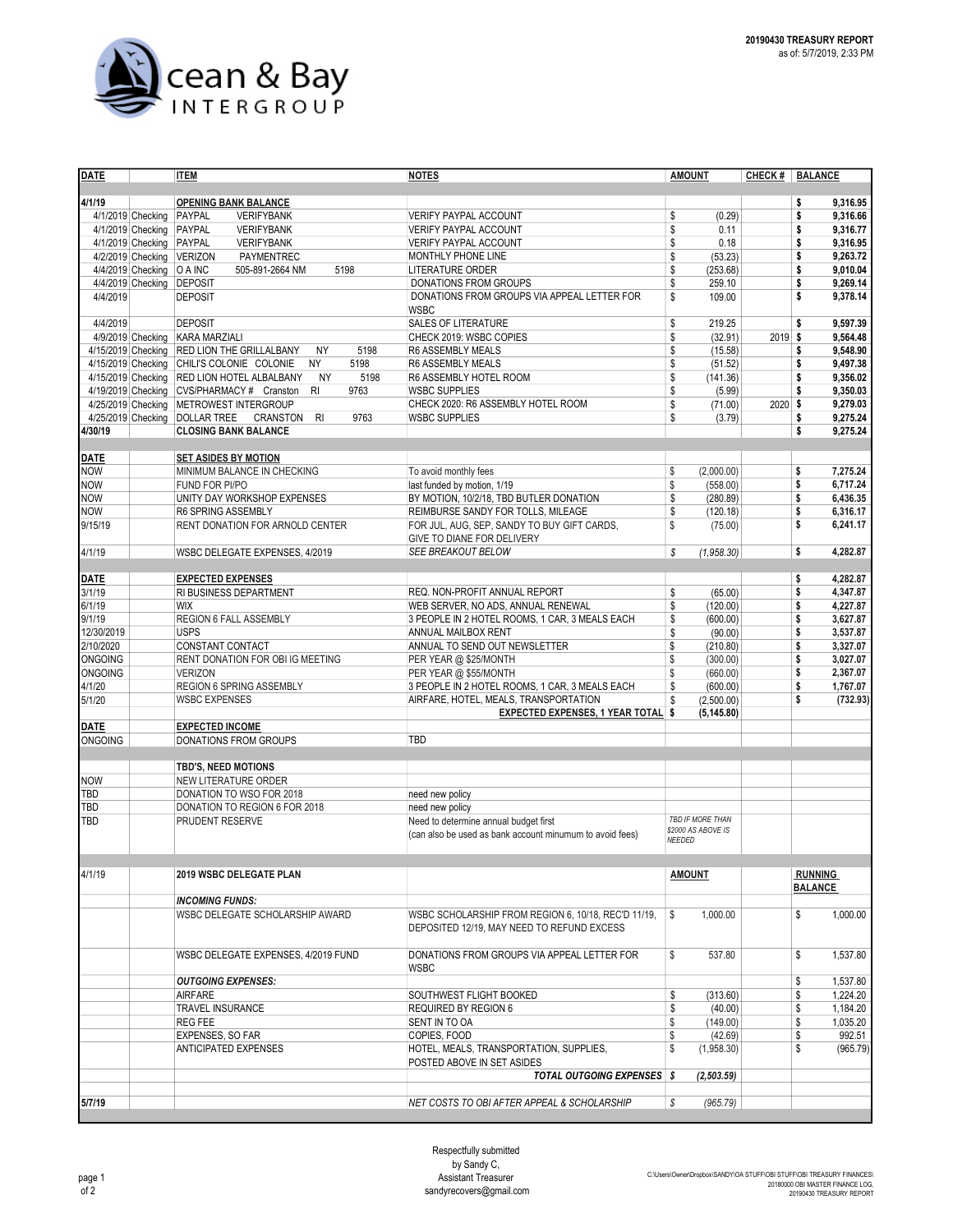

| <b>DATE</b>                                   | <b>ITEM</b>                                                      | <b>NOTES</b>                                                          | <b>AMOUNT</b>              | CHECK #   | <b>BALANCE</b>                   |
|-----------------------------------------------|------------------------------------------------------------------|-----------------------------------------------------------------------|----------------------------|-----------|----------------------------------|
|                                               |                                                                  |                                                                       |                            |           |                                  |
| 4/1/19                                        | <b>OPENING BANK BALANCE</b>                                      | <b>VERIFY PAYPAL ACCOUNT</b>                                          |                            |           | 9,316.95<br>\$                   |
| 4/1/2019 Checking<br>4/1/2019 Checking PAYPAL | PAYPAL<br><b>VERIFYBANK</b><br><b>VERIFYBANK</b>                 | <b>VERIFY PAYPAL ACCOUNT</b>                                          | \$<br>(0.29)<br>\$<br>0.11 |           | 9,316.66<br>\$<br>9,316.77<br>\$ |
| 4/1/2019 Checking PAYPAL                      | <b>VERIFYBANK</b>                                                | <b>VERIFY PAYPAL ACCOUNT</b>                                          | \$<br>0.18                 |           | 9,316.95<br>\$                   |
| 4/2/2019 Checking VERIZON                     | <b>PAYMENTREC</b>                                                | MONTHLY PHONE LINE                                                    | \$<br>(53.23)              |           | 9,263.72<br>\$                   |
| 4/4/2019 Checking   O A INC                   | 505-891-2664 NM<br>5198                                          | <b>LITERATURE ORDER</b>                                               | \$<br>(253.68)             |           | 9,010.04<br>\$                   |
| 4/4/2019 Checking DEPOSIT                     |                                                                  | <b>DONATIONS FROM GROUPS</b>                                          | \$<br>259.10               |           | 9,269.14<br>\$                   |
| 4/4/2019                                      | <b>DEPOSIT</b>                                                   | DONATIONS FROM GROUPS VIA APPEAL LETTER FOR                           | \$<br>109.00               |           | 9,378.14<br>\$                   |
|                                               |                                                                  | <b>WSBC</b>                                                           |                            |           |                                  |
| 4/4/2019                                      | <b>DEPOSIT</b>                                                   | <b>SALES OF LITERATURE</b>                                            | \$<br>219.25               |           | 9,597.39<br>\$                   |
| 4/9/2019 Checking KARA MARZIALI               |                                                                  | CHECK 2019: WSBC COPIES                                               | \$<br>(32.91)              | $2019$ \$ | 9,564.48                         |
|                                               | 4/15/2019 Checking RED LION THE GRILLALBANY<br>5198<br><b>NY</b> | R6 ASSEMBLY MEALS                                                     | \$<br>(15.58)              |           | 9,548.90<br>\$                   |
|                                               | 4/15/2019 Checking CHILI'S COLONIE COLONIE<br><b>NY</b><br>5198  | R6 ASSEMBLY MEALS                                                     | \$<br>(51.52)              |           | 9,497.38<br>\$                   |
|                                               | <b>NY</b><br>5198<br>4/15/2019 Checking RED LION HOTEL ALBALBANY | R6 ASSEMBLY HOTEL ROOM                                                | \$<br>(141.36)             |           | 9,356.02<br>\$                   |
|                                               | 4/19/2019 Checking CVS/PHARMACY # Cranston<br><b>RI</b><br>9763  | <b>WSBC SUPPLIES</b>                                                  | \$<br>(5.99)               |           | 9,350.03<br>\$                   |
|                                               | 4/25/2019 Checking METROWEST INTERGROUP<br>R <sub>l</sub>        | CHECK 2020: R6 ASSEMBLY HOTEL ROOM                                    | \$<br>(71.00)<br>\$        | 2020 \$   | 9,279.03                         |
| 4/25/2019 Checking DOLLAR TREE<br>4/30/19     | 9763<br>CRANSTON<br><b>CLOSING BANK BALANCE</b>                  | <b>WSBC SUPPLIES</b>                                                  | (3.79)                     |           | 9,275.24<br>\$<br>\$<br>9,275.24 |
|                                               |                                                                  |                                                                       |                            |           |                                  |
|                                               | <b>SET ASIDES BY MOTION</b>                                      |                                                                       |                            |           |                                  |
| <b>DATE</b><br>NOW                            | MINIMUM BALANCE IN CHECKING                                      | To avoid monthly fees                                                 | \$<br>(2,000.00)           |           | 7,275.24<br>\$                   |
| <b>NOW</b>                                    | FUND FOR PI/PO                                                   | last funded by motion, 1/19                                           | \$<br>(558.00)             |           | 6,717.24<br>\$                   |
| <b>NOW</b>                                    | UNITY DAY WORKSHOP EXPENSES                                      | BY MOTION, 10/2/18, TBD BUTLER DONATION                               | \$<br>(280.89)             |           | 6,436.35<br>\$                   |
| <b>NOW</b>                                    | R6 SPRING ASSEMBLY                                               | REIMBURSE SANDY FOR TOLLS, MILEAGE                                    | \$<br>(120.18)             |           | 6,316.17<br>\$                   |
| 9/15/19                                       | RENT DONATION FOR ARNOLD CENTER                                  | FOR JUL, AUG, SEP, SANDY TO BUY GIFT CARDS,                           | \$<br>(75.00)              |           | 6.241.17<br>\$                   |
|                                               |                                                                  | GIVE TO DIANE FOR DELIVERY                                            |                            |           |                                  |
| 4/1/19                                        | WSBC DELEGATE EXPENSES, 4/2019                                   | SEE BREAKOUT BELOW                                                    | S<br>(1,958.30)            |           | \$<br>4,282.87                   |
|                                               |                                                                  |                                                                       |                            |           |                                  |
| <b>DATE</b>                                   | <b>EXPECTED EXPENSES</b>                                         |                                                                       |                            |           | 4,282.87<br>\$                   |
| 3/1/19                                        | RI BUSINESS DEPARTMENT                                           | REQ. NON-PROFIT ANNUAL REPORT                                         | \$<br>(65.00)              |           | 4,347.87<br>\$                   |
| 6/1/19                                        | <b>WIX</b>                                                       | WEB SERVER, NO ADS, ANNUAL RENEWAL                                    | \$<br>(120.00)             |           | 4,227.87<br>\$<br>3.627.87       |
| 9/1/19<br>12/30/2019                          | REGION 6 FALL ASSEMBLY<br><b>USPS</b>                            | 3 PEOPLE IN 2 HOTEL ROOMS, 1 CAR, 3 MEALS EACH<br>ANNUAL MAILBOX RENT | \$<br>(600.00)<br>\$       |           | \$<br>3,537.87<br>\$             |
| 2/10/2020                                     | CONSTANT CONTACT                                                 | ANNUAL TO SEND OUT NEWSLETTER                                         | (90.00)<br>\$<br>(210.80)  |           | \$<br>3,327.07                   |
| <b>ONGOING</b>                                | RENT DONATION FOR OBI IG MEETING                                 | PER YEAR @ \$25/MONTH                                                 | \$<br>(300.00)             |           | 3,027.07<br>\$                   |
| <b>ONGOING</b>                                | <b>VERIZON</b>                                                   | PER YEAR @ \$55/MONTH                                                 | \$<br>(660.00)             |           | 2,367.07<br>\$                   |
| 4/1/20                                        | REGION 6 SPRING ASSEMBLY                                         | 3 PEOPLE IN 2 HOTEL ROOMS, 1 CAR, 3 MEALS EACH                        | \$<br>(600.00)             |           | 1,767.07<br>\$                   |
| 5/1/20                                        | <b>WSBC EXPENSES</b>                                             | AIRFARE, HOTEL, MEALS, TRANSPORTATION                                 | \$<br>(2,500.00)           |           | (732.93)<br>\$                   |
|                                               |                                                                  | <b>EXPECTED EXPENSES, 1 YEAR TOTAL</b>                                | s<br>(5, 145.80)           |           |                                  |
| <b>DATE</b>                                   | <b>EXPECTED INCOME</b>                                           |                                                                       |                            |           |                                  |
| <b>ONGOING</b>                                | <b>DONATIONS FROM GROUPS</b>                                     | TBD                                                                   |                            |           |                                  |
|                                               |                                                                  |                                                                       |                            |           |                                  |
|                                               | TBD'S, NEED MOTIONS                                              |                                                                       |                            |           |                                  |
| <b>NOW</b>                                    | NEW LITERATURE ORDER                                             |                                                                       |                            |           |                                  |
| <b>TBD</b>                                    | DONATION TO WSO FOR 2018                                         | need new policy                                                       |                            |           |                                  |
| <b>TBD</b><br><b>TBD</b>                      | DONATION TO REGION 6 FOR 2018<br><b>PRUDENT RESERVE</b>          | need new policy<br>Need to determine annual budget first              | TBD IF MORE THAN           |           |                                  |
|                                               |                                                                  | (can also be used as bank account minumum to avoid fees)              | \$2000 AS ABOVE IS         |           |                                  |
|                                               |                                                                  |                                                                       | <b>NEEDED</b>              |           |                                  |
|                                               |                                                                  |                                                                       |                            |           |                                  |
| 4/1/19                                        | 2019 WSBC DELEGATE PLAN                                          |                                                                       | <b>AMOUNT</b>              |           | RUNNING                          |
|                                               |                                                                  |                                                                       |                            |           | <b>BALANCE</b>                   |
|                                               | <b>INCOMING FUNDS:</b>                                           |                                                                       |                            |           |                                  |
|                                               | WSBC DELEGATE SCHOLARSHIP AWARD                                  | WSBC SCHOLARSHIP FROM REGION 6, 10/18, REC'D 11/19,                   | \$<br>1,000.00             |           | \$<br>1,000.00                   |
|                                               |                                                                  | DEPOSITED 12/19, MAY NEED TO REFUND EXCESS                            |                            |           |                                  |
|                                               | WSBC DELEGATE EXPENSES, 4/2019 FUND                              | DONATIONS FROM GROUPS VIA APPEAL LETTER FOR                           | 537.80<br>\$               |           | \$<br>1,537.80                   |
|                                               |                                                                  | <b>WSBC</b>                                                           |                            |           |                                  |
|                                               | <b>OUTGOING EXPENSES:</b>                                        |                                                                       |                            |           | \$<br>1,537.80                   |
|                                               | <b>AIRFARE</b>                                                   | SOUTHWEST FLIGHT BOOKED                                               | \$<br>(313.60)             |           | \$<br>1,224.20                   |
|                                               | <b>TRAVEL INSURANCE</b>                                          | <b>REQUIRED BY REGION 6</b>                                           | \$<br>(40.00)              |           | 1,184.20<br>\$                   |
|                                               | <b>REG FEE</b>                                                   | SENT IN TO OA                                                         | \$<br>(149.00)             |           | 1,035.20<br>\$                   |
|                                               | <b>EXPENSES, SO FAR</b>                                          | COPIES, FOOD                                                          | \$<br>(42.69)              |           | 992.51<br>\$                     |
|                                               | <b>ANTICIPATED EXPENSES</b>                                      | HOTEL, MEALS, TRANSPORTATION, SUPPLIES,                               | \$<br>(1,958.30)           |           | \$<br>(965.79)                   |
|                                               |                                                                  | POSTED ABOVE IN SET ASIDES                                            |                            |           |                                  |
|                                               |                                                                  | <b>TOTAL OUTGOING EXPENSES</b> \$                                     | (2, 503.59)                |           |                                  |
|                                               |                                                                  |                                                                       |                            |           |                                  |
| 5/7/19                                        |                                                                  | NET COSTS TO OBI AFTER APPEAL & SCHOLARSHIP                           | \$<br>(965.79)             |           |                                  |